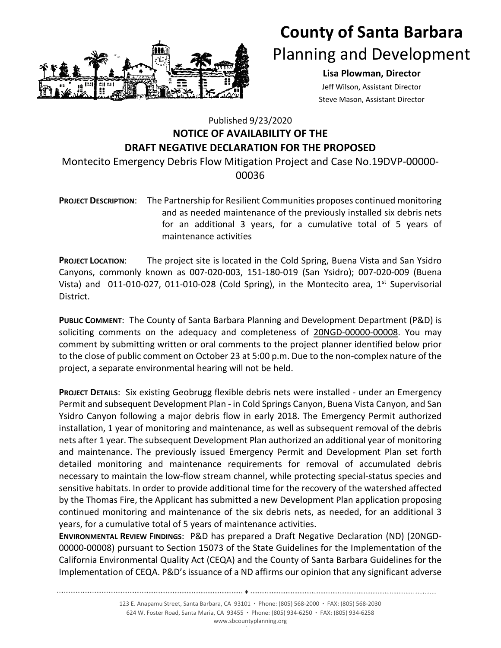

## **County of Santa Barbara**  Planning and Development

## **Lisa Plowman, Director**

Jeff Wilson, Assistant Director Steve Mason, Assistant Director

## Published 9/23/2020 **NOTICE OF AVAILABILITY OF THE DRAFT NEGATIVE DECLARATION FOR THE PROPOSED**

Montecito Emergency Debris Flow Mitigation Project and Case No.19DVP‐00000‐ 00036

**PROJECT DESCRIPTION**: The Partnership for Resilient Communities proposes continued monitoring and as needed maintenance of the previously installed six debris nets for an additional 3 years, for a cumulative total of 5 years of maintenance activities

**PROJECT LOCATION**: The project site is located in the Cold Spring, Buena Vista and San Ysidro Canyons, commonly known as 007‐020‐003, 151‐180‐019 (San Ysidro); 007‐020‐009 (Buena Vista) and 011-010-027, 011-010-028 (Cold Spring), in the Montecito area, 1<sup>st</sup> Supervisorial District.

**PUBLIC COMMENT**: The County of Santa Barbara Planning and Development Department (P&D) is soliciting comments on the adequacy and completeness of 20NGD-00000-00008. You may comment by submitting written or oral comments to the project planner identified below prior to the close of public comment on October 23 at 5:00 p.m. Due to the non-complex nature of the project, a separate environmental hearing will not be held.

**PROJECT DETAILS**: Six existing Geobrugg flexible debris nets were installed ‐ under an Emergency Permit and subsequent Development Plan ‐ in Cold Springs Canyon, Buena Vista Canyon, and San Ysidro Canyon following a major debris flow in early 2018. The Emergency Permit authorized installation, 1 year of monitoring and maintenance, as well as subsequent removal of the debris nets after 1 year. The subsequent Development Plan authorized an additional year of monitoring and maintenance. The previously issued Emergency Permit and Development Plan set forth detailed monitoring and maintenance requirements for removal of accumulated debris necessary to maintain the low‐flow stream channel, while protecting special‐status species and sensitive habitats. In order to provide additional time for the recovery of the watershed affected by the Thomas Fire, the Applicant has submitted a new Development Plan application proposing continued monitoring and maintenance of the six debris nets, as needed, for an additional 3 years, for a cumulative total of 5 years of maintenance activities.

**ENVIRONMENTAL REVIEW FINDINGS**: P&D has prepared a Draft Negative Declaration (ND) (20NGD‐ 00000‐00008) pursuant to Section 15073 of the State Guidelines for the Implementation of the California Environmental Quality Act (CEQA) and the County of Santa Barbara Guidelines for the Implementation of CEQA. P&D's issuance of a ND affirms our opinion that any significant adverse

> 123 E. Anapamu Street, Santa Barbara, CA 93101 **∙** Phone: (805) 568‐2000 **∙** FAX: (805) 568‐2030 624 W. Foster Road, Santa Maria, CA 93455 **∙** Phone: (805) 934‐6250 **∙** FAX: (805) 934‐6258 www.sbcountyplanning.org